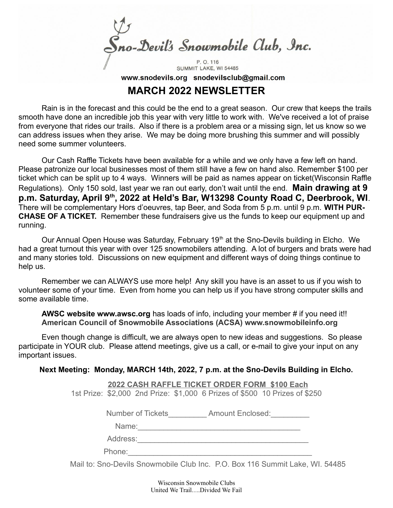no-Devil's Snowmobile Club, Inc. P. O. 116 SUMMIT LAKE, WI 54485

www.snodevils.org snodevilsclub@gmail.com

## **MARCH 2022 NEWSLETTER**

Rain is in the forecast and this could be the end to a great season. Our crew that keeps the trails smooth have done an incredible job this year with very little to work with. We've received a lot of praise from everyone that rides our trails. Also if there is a problem area or a missing sign, let us know so we can address issues when they arise. We may be doing more brushing this summer and will possibly need some summer volunteers.

Our Cash Raffle Tickets have been available for a while and we only have a few left on hand. Please patronize our local businesses most of them still have a few on hand also. Remember \$100 per ticket which can be split up to 4 ways. Winners will be paid as names appear on ticket(Wisconsin Raffle Regulations). Only 150 sold, last year we ran out early, don't wait until the end. **Main drawing at 9 p.m. Saturday, April 9th, 2022 at Held's Bar, W13298 County Road C, Deerbrook, WI**. There will be complementary Hors d'oeuvres, tap Beer, and Soda from 5 p.m. until 9 p.m. **WITH PUR-CHASE OF A TICKET.** Remember these fundraisers give us the funds to keep our equipment up and running.

Our Annual Open House was Saturday, February 19<sup>th</sup> at the Sno-Devils building in Elcho. We had a great turnout this year with over 125 snowmobilers attending. A lot of burgers and brats were had and many stories told. Discussions on new equipment and different ways of doing things continue to help us.

Remember we can ALWAYS use more help! Any skill you have is an asset to us if you wish to volunteer some of your time. Even from home you can help us if you have strong computer skills and some available time.

**AWSC website www.awsc.org** has loads of info, including your member # if you need it!! **American Council of Snowmobile Associations (ACSA) www.snowmobileinfo.org**

Even though change is difficult, we are always open to new ideas and suggestions. So please participate in YOUR club. Please attend meetings, give us a call, or e-mail to give your input on any important issues.

## **Next Meeting: Monday, MARCH 14th, 2022, 7 p.m. at the Sno-Devils Building in Elcho.**

 **2022 CASH RAFFLE TICKET ORDER FORM \$100 Each** 1st Prize: \$2,000 2nd Prize: \$1,000 6 Prizes of \$500 10 Prizes of \$250

Number of Tickets **Amount Enclosed:** 

 $Name:$ 

Address:\_\_\_\_\_\_\_\_\_\_\_\_\_\_\_\_\_\_\_\_\_\_\_\_\_\_\_\_\_\_\_\_\_\_\_\_\_\_\_\_

Phone:

Mail to: Sno-Devils Snowmobile Club Inc. P.O. Box 116 Summit Lake, WI. 54485